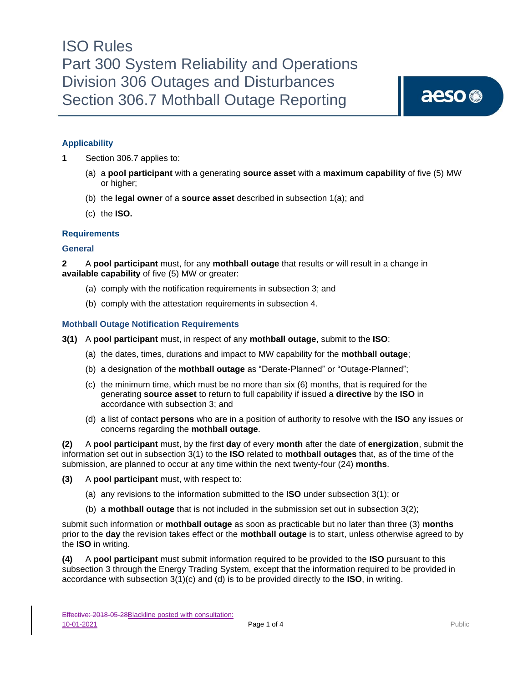# **Applicability**

**1** Section 306.7 applies to:

- (a) a **pool participant** with a generating **source asset** with a **maximum capability** of five (5) MW or higher;
- (b) the **legal owner** of a **source asset** described in subsection 1(a); and
- (c) the **ISO.**

#### **Requirements**

#### **General**

**2** A **pool participant** must, for any **mothball outage** that results or will result in a change in **available capability** of five (5) MW or greater:

- (a) comply with the notification requirements in subsection 3; and
- (b) comply with the attestation requirements in subsection 4.

#### **Mothball Outage Notification Requirements**

- **3(1)** A **pool participant** must, in respect of any **mothball outage**, submit to the **ISO**:
	- (a) the dates, times, durations and impact to MW capability for the **mothball outage**;
	- (b) a designation of the **mothball outage** as "Derate-Planned" or "Outage-Planned";
	- (c) the minimum time, which must be no more than six (6) months, that is required for the generating **source asset** to return to full capability if issued a **directive** by the **ISO** in accordance with subsection 3; and
	- (d) a list of contact **persons** who are in a position of authority to resolve with the **ISO** any issues or concerns regarding the **mothball outage**.

**(2)** A **pool participant** must, by the first **day** of every **month** after the date of **energization**, submit the information set out in subsection 3(1) to the **ISO** related to **mothball outages** that, as of the time of the submission, are planned to occur at any time within the next twenty-four (24) **months**.

- **(3)** A **pool participant** must, with respect to:
	- (a) any revisions to the information submitted to the **ISO** under subsection 3(1); or
	- (b) a **mothball outage** that is not included in the submission set out in subsection 3(2);

submit such information or **mothball outage** as soon as practicable but no later than three (3) **months** prior to the **day** the revision takes effect or the **mothball outage** is to start, unless otherwise agreed to by the **ISO** in writing.

**(4)** A **pool participant** must submit information required to be provided to the **ISO** pursuant to this subsection 3 through the Energy Trading System, except that the information required to be provided in accordance with subsection 3(1)(c) and (d) is to be provided directly to the **ISO**, in writing.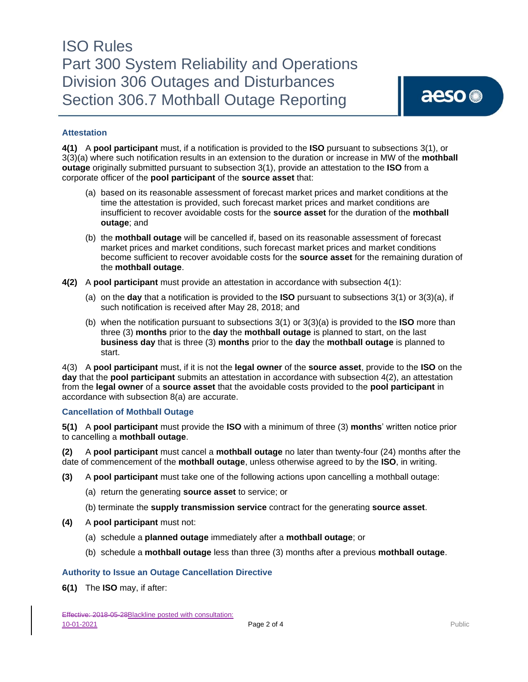# ISO Rules Part 300 System Reliability and Operations Division 306 Outages and Disturbances Section 306.7 Mothball Outage Reporting

## **Attestation**

**4(1)** A **pool participant** must, if a notification is provided to the **ISO** pursuant to subsections 3(1), or 3(3)(a) where such notification results in an extension to the duration or increase in MW of the **mothball outage** originally submitted pursuant to subsection 3(1), provide an attestation to the **ISO** from a corporate officer of the **pool participant** of the **source asset** that:

- (a) based on its reasonable assessment of forecast market prices and market conditions at the time the attestation is provided, such forecast market prices and market conditions are insufficient to recover avoidable costs for the **source asset** for the duration of the **mothball outage**; and
- (b) the **mothball outage** will be cancelled if, based on its reasonable assessment of forecast market prices and market conditions, such forecast market prices and market conditions become sufficient to recover avoidable costs for the **source asset** for the remaining duration of the **mothball outage**.
- **4(2)** A **pool participant** must provide an attestation in accordance with subsection 4(1):
	- (a) on the **day** that a notification is provided to the **ISO** pursuant to subsections 3(1) or 3(3)(a), if such notification is received after May 28, 2018; and
	- (b) when the notification pursuant to subsections 3(1) or 3(3)(a) is provided to the **ISO** more than three (3) **months** prior to the **day** the **mothball outage** is planned to start, on the last **business day** that is three (3) **months** prior to the **day** the **mothball outage** is planned to start.

4(3) A **pool participant** must, if it is not the **legal owner** of the **source asset**, provide to the **ISO** on the **day** that the **pool participant** submits an attestation in accordance with subsection 4(2), an attestation from the **legal owner** of a **source asset** that the avoidable costs provided to the **pool participant** in accordance with subsection 8(a) are accurate.

### **Cancellation of Mothball Outage**

**5(1)** A **pool participant** must provide the **ISO** with a minimum of three (3) **months**' written notice prior to cancelling a **mothball outage**.

**(2)** A **pool participant** must cancel a **mothball outage** no later than twenty-four (24) months after the date of commencement of the **mothball outage**, unless otherwise agreed to by the **ISO**, in writing.

- **(3)** A **pool participant** must take one of the following actions upon cancelling a mothball outage:
	- (a) return the generating **source asset** to service; or
	- (b) terminate the **supply transmission service** contract for the generating **source asset**.
- **(4)** A **pool participant** must not:
	- (a) schedule a **planned outage** immediately after a **mothball outage**; or
	- (b) schedule a **mothball outage** less than three (3) months after a previous **mothball outage**.

### **Authority to Issue an Outage Cancellation Directive**

**6(1)** The **ISO** may, if after: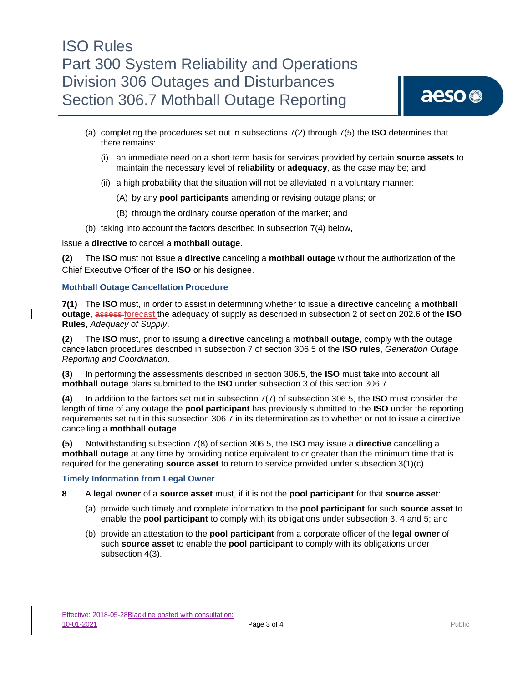# ISO Rules Part 300 System Reliability and Operations Division 306 Outages and Disturbances Section 306.7 Mothball Outage Reporting

- (a) completing the procedures set out in subsections 7(2) through 7(5) the **ISO** determines that there remains:
	- (i) an immediate need on a short term basis for services provided by certain **source assets** to maintain the necessary level of **reliability** or **adequacy**, as the case may be; and
	- (ii) a high probability that the situation will not be alleviated in a voluntary manner:
		- (A) by any **pool participants** amending or revising outage plans; or
		- (B) through the ordinary course operation of the market; and
- (b) taking into account the factors described in subsection 7(4) below,

issue a **directive** to cancel a **mothball outage**.

**(2)** The **ISO** must not issue a **directive** canceling a **mothball outage** without the authorization of the Chief Executive Officer of the **ISO** or his designee.

#### **Mothball Outage Cancellation Procedure**

**7(1)** The **ISO** must, in order to assist in determining whether to issue a **directive** canceling a **mothball outage**, assess forecast the adequacy of supply as described in subsection 2 of section 202.6 of the **ISO Rules**, *Adequacy of Supply*.

**(2)** The **ISO** must, prior to issuing a **directive** canceling a **mothball outage**, comply with the outage cancellation procedures described in subsection 7 of section 306.5 of the **ISO rules**, *Generation Outage Reporting and Coordination*.

**(3)** In performing the assessments described in section 306.5, the **ISO** must take into account all **mothball outage** plans submitted to the **ISO** under subsection 3 of this section 306.7.

**(4)** In addition to the factors set out in subsection 7(7) of subsection 306.5, the **ISO** must consider the length of time of any outage the **pool participant** has previously submitted to the **ISO** under the reporting requirements set out in this subsection 306.7 in its determination as to whether or not to issue a directive cancelling a **mothball outage**.

**(5)** Notwithstanding subsection 7(8) of section 306.5, the **ISO** may issue a **directive** cancelling a **mothball outage** at any time by providing notice equivalent to or greater than the minimum time that is required for the generating **source asset** to return to service provided under subsection 3(1)(c).

#### **Timely Information from Legal Owner**

- **8** A **legal owner** of a **source asset** must, if it is not the **pool participant** for that **source asset**:
	- (a) provide such timely and complete information to the **pool participant** for such **source asset** to enable the **pool participant** to comply with its obligations under subsection 3, 4 and 5; and
	- (b) provide an attestation to the **pool participant** from a corporate officer of the **legal owner** of such **source asset** to enable the **pool participant** to comply with its obligations under subsection 4(3).